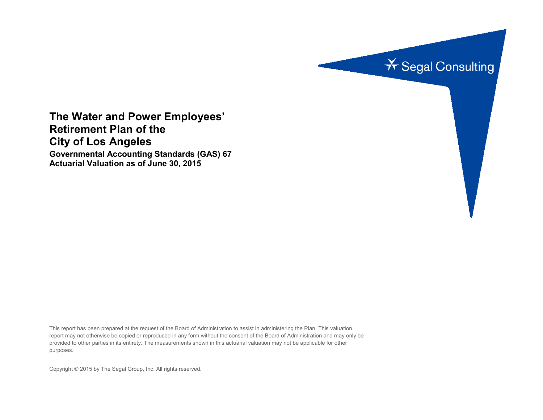

**The Water and Power Employees' Retirement Plan of the City of Los Angeles Governmental Accounting Standards (GAS) 67 Actuarial Valuation as of June 30, 2015**

This report has been prepared at the request of the Board of Administration to assist in administering the Plan. This valuation report may not otherwise be copied or reproduced in any form without the consent of the Board of Administration and may only be provided to other parties in its entirety. The measurements shown in this actuarial valuation may not be applicable for other purposes.

Copyright © 2015 by The Segal Group, Inc. All rights reserved.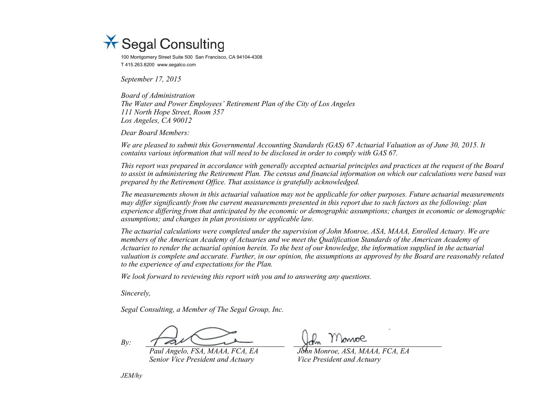

100 Montgomery Street Suite 500 San Francisco, CA 94104-4308 T 415.263.8200 www.segalco.com

*September 17, 2015*

*Board of Administration The Water and Power Employees' Retirement Plan of the City of Los Angeles 111 North Hope Street, Room 357 Los Angeles, CA 90012*

*Dear Board Members:*

*We are pleased to submit this Governmental Accounting Standards (GAS) 67 Actuarial Valuation as of June 30, 2015. It contains various information that will need to be disclosed in order to comply with GAS 67.*

*This report was prepared in accordance with generally accepted actuarial principles and practices at the request of the Board to assist in administering the Retirement Plan. The census and financial information on which our calculations were based was prepared by the Retirement Office. That assistance is gratefully acknowledged.* 

*The measurements shown in this actuarial valuation may not be applicable for other purposes. Future actuarial measurements may differ significantly from the current measurements presented in this report due to such factors as the following: plan experience differing from that anticipated by the economic or demographic assumptions; changes in economic or demographic assumptions; and changes in plan provisions or applicable law.*

*The actuarial calculations were completed under the supervision of John Monroe, ASA, MAAA, Enrolled Actuary. We are members of the American Academy of Actuaries and we meet the Qualification Standards of the American Academy of Actuaries to render the actuarial opinion herein. To the best of our knowledge, the information supplied in the actuarial valuation is complete and accurate. Further, in our opinion, the assumptions as approved by the Board are reasonably related to the experience of and expectations for the Plan.*

*We look forward to reviewing this report with you and to answering any questions.*

*Sincerely,*

*Segal Consulting, a Member of The Segal Group, Inc.*

*By:*

*Paul Angelo, FSA, MAAA, FCA, EA John Monroe, ASA, MAAA, FCA, EA Senior Vice President and Actuary Vice President and Actuary*

*JEM/hy*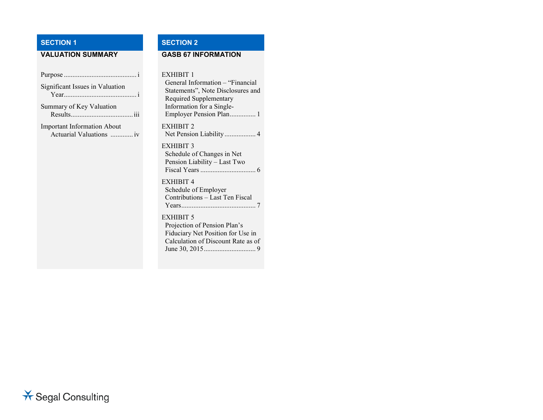# **SECTION 1 SECTION 2**

# **VALUATION SUMMARY GASB 67 INFORMATION**

| Significant Issues in Valuation    |
|------------------------------------|
| Summary of Key Valuation           |
| <b>Important Information About</b> |
|                                    |

#### EXHIBIT 1

General Information – "Financial Statements", Note Disclosures and Required Supplementary Information for a Single-Employer Pension Plan............... 1 EXHIBIT 2 Net Pension Liability .................. 4 EXHIBIT 3 Schedule of Changes in Net Pension Liability – Last Two Fiscal Years................................ 6 EXHIBIT 4

Schedule of Employer Contributions – Last Ten Fiscal Years........................................... 7

### EXHIBIT 5

Projection of Pension Plan's Fiduciary Net Position for Use in Calculation of Discount Rate as of June 30, 2015.............................. 9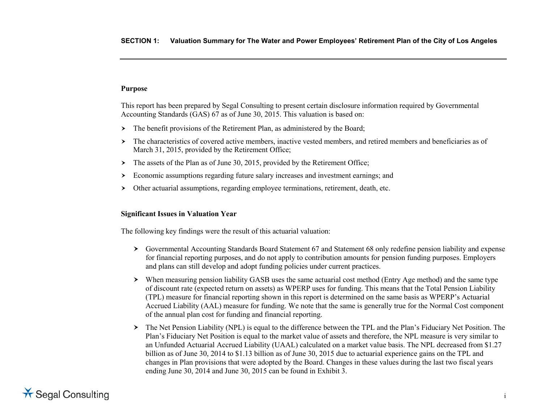## **Purpose**

This report has been prepared by Segal Consulting to present certain disclosure information required by Governmental Accounting Standards (GAS) 67 as of June 30, 2015. This valuation is based on:

- $\triangleright$  The benefit provisions of the Retirement Plan, as administered by the Board;
- The characteristics of covered active members, inactive vested members, and retired members and beneficiaries as of March 31, 2015, provided by the Retirement Office;
- $\rightarrow$  The assets of the Plan as of June 30, 2015, provided by the Retirement Office;
- Economic assumptions regarding future salary increases and investment earnings; and
- Other actuarial assumptions, regarding employee terminations, retirement, death, etc.

## **Significant Issues in Valuation Year**

The following key findings were the result of this actuarial valuation:

- Governmental Accounting Standards Board Statement 67 and Statement 68 only redefine pension liability and expense for financial reporting purposes, and do not apply to contribution amounts for pension funding purposes. Employers and plans can still develop and adopt funding policies under current practices.
- When measuring pension liability GASB uses the same actuarial cost method (Entry Age method) and the same type of discount rate (expected return on assets) as WPERP uses for funding. This means that the Total Pension Liability (TPL) measure for financial reporting shown in this report is determined on the same basis as WPERP's Actuarial Accrued Liability (AAL) measure for funding. We note that the same is generally true for the Normal Cost component of the annual plan cost for funding and financial reporting.
- The Net Pension Liability (NPL) is equal to the difference between the TPL and the Plan's Fiduciary Net Position. The Plan's Fiduciary Net Position is equal to the market value of assets and therefore, the NPL measure is very similar to an Unfunded Actuarial Accrued Liability (UAAL) calculated on a market value basis. The NPL decreased from \$1.27 billion as of June 30, 2014 to \$1.13 billion as of June 30, 2015 due to actuarial experience gains on the TPL and changes in Plan provisions that were adopted by the Board. Changes in these values during the last two fiscal years ending June 30, 2014 and June 30, 2015 can be found in Exhibit 3.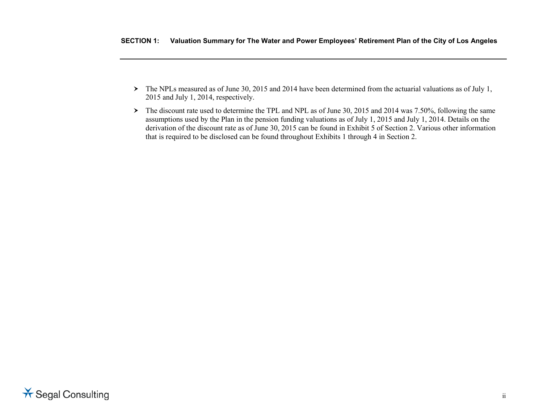- The NPLs measured as of June 30, 2015 and 2014 have been determined from the actuarial valuations as of July 1, 2015 and July 1, 2014, respectively.
- > The discount rate used to determine the TPL and NPL as of June 30, 2015 and 2014 was 7.50%, following the same assumptions used by the Plan in the pension funding valuations as of July 1, 2015 and July 1, 2014. Details on the derivation of the discount rate as of June 30, 2015 can be found in Exhibit 5 of Section 2. Various other information that is required to be disclosed can be found throughout Exhibits 1 through 4 in Section 2.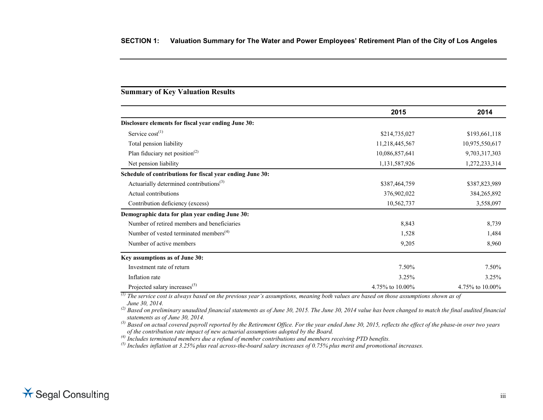## **Summary of Key Valuation Results**

|                                                           | 2015            | 2014            |
|-----------------------------------------------------------|-----------------|-----------------|
| Disclosure elements for fiscal year ending June 30:       |                 |                 |
| Service $cost^{(1)}$                                      | \$214,735,027   | \$193,661,118   |
| Total pension liability                                   | 11,218,445,567  | 10,975,550,617  |
| Plan fiduciary net position <sup>(2)</sup>                | 10,086,857,641  | 9,703,317,303   |
| Net pension liability                                     | 1,131,587,926   | 1,272,233,314   |
| Schedule of contributions for fiscal year ending June 30: |                 |                 |
| Actuarially determined contributions <sup>(3)</sup>       | \$387,464,759   | \$387,823,989   |
| Actual contributions                                      | 376,902,022     | 384,265,892     |
| Contribution deficiency (excess)                          | 10,562,737      | 3,558,097       |
| Demographic data for plan year ending June 30:            |                 |                 |
| Number of retired members and beneficiaries               | 8,843           | 8,739           |
| Number of vested terminated members <sup>(4)</sup>        | 1,528           | 1,484           |
| Number of active members                                  | 9,205           | 8,960           |
| Key assumptions as of June 30:                            |                 |                 |
| Investment rate of return                                 | 7.50%           | 7.50%           |
| Inflation rate                                            | 3.25%           | 3.25%           |
| Projected salary increases <sup>(5)</sup>                 | 4.75% to 10.00% | 4.75% to 10.00% |

*(1) The service cost is always based on the previous year's assumptions, meaning both values are based on those assumptions shown as of* 

*June 30, 2014. (2) Based on preliminary unaudited financial statements as of June 30, 2015. The June 30, 2014 value has been changed to match the final audited financial statements as of June 30, 2014.*

*(3) Based on actual covered payroll reported by the Retirement Office. For the year ended June 30, 2015, reflects the effect of the phase-in over two years of the contribution rate impact of new actuarial assumptions adopted by the Board.*

*(4) Includes terminated members due a refund of member contributions and members receiving PTD benefits.*

*(5) Includes inflation at 3.25% plus real across-the-board salary increases of 0.75% plus merit and promotional increases.*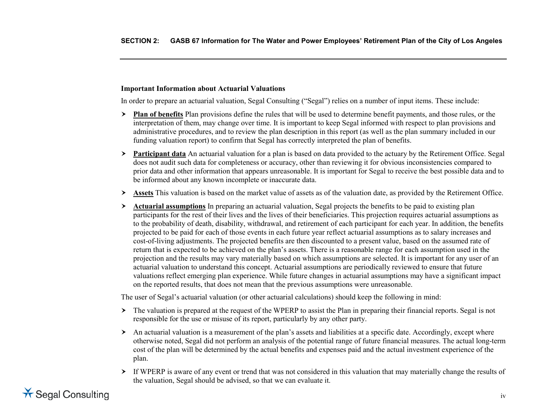## **Important Information about Actuarial Valuations**

In order to prepare an actuarial valuation, Segal Consulting ("Segal") relies on a number of input items. These include:

- **Plan of benefits** Plan provisions define the rules that will be used to determine benefit payments, and those rules, or the interpretation of them, may change over time. It is important to keep Segal informed with respect to plan provisions and administrative procedures, and to review the plan description in this report (as well as the plan summary included in our funding valuation report) to confirm that Segal has correctly interpreted the plan of benefits.
- **Participant data** An actuarial valuation for a plan is based on data provided to the actuary by the Retirement Office. Segal does not audit such data for completeness or accuracy, other than reviewing it for obvious inconsistencies compared to prior data and other information that appears unreasonable. It is important for Segal to receive the best possible data and to be informed about any known incomplete or inaccurate data.
- **Assets** This valuation is based on the market value of assets as of the valuation date, as provided by the Retirement Office.
- **Actuarial assumptions** In preparing an actuarial valuation, Segal projects the benefits to be paid to existing plan participants for the rest of their lives and the lives of their beneficiaries. This projection requires actuarial assumptions as to the probability of death, disability, withdrawal, and retirement of each participant for each year. In addition, the benefits projected to be paid for each of those events in each future year reflect actuarial assumptions as to salary increases and cost-of-living adjustments. The projected benefits are then discounted to a present value, based on the assumed rate of return that is expected to be achieved on the plan's assets. There is a reasonable range for each assumption used in the projection and the results may vary materially based on which assumptions are selected. It is important for any user of an actuarial valuation to understand this concept. Actuarial assumptions are periodically reviewed to ensure that future valuations reflect emerging plan experience. While future changes in actuarial assumptions may have a significant impact on the reported results, that does not mean that the previous assumptions were unreasonable.

The user of Segal's actuarial valuation (or other actuarial calculations) should keep the following in mind:

- $\geq$  The valuation is prepared at the request of the WPERP to assist the Plan in preparing their financial reports. Segal is not responsible for the use or misuse of its report, particularly by any other party.
- $\triangleright$  An actuarial valuation is a measurement of the plan's assets and liabilities at a specific date. Accordingly, except where otherwise noted, Segal did not perform an analysis of the potential range of future financial measures. The actual long-term cost of the plan will be determined by the actual benefits and expenses paid and the actual investment experience of the plan.
- If WPERP is aware of any event or trend that was not considered in this valuation that may materially change the results of the valuation, Segal should be advised, so that we can evaluate it.

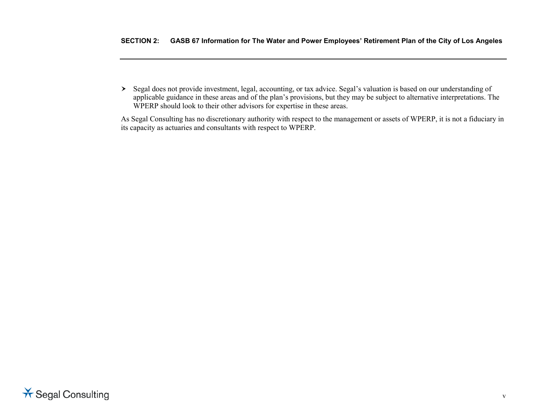Segal does not provide investment, legal, accounting, or tax advice. Segal's valuation is based on our understanding of applicable guidance in these areas and of the plan's provisions, but they may be subject to alternative interpretations. The WPERP should look to their other advisors for expertise in these areas.

As Segal Consulting has no discretionary authority with respect to the management or assets of WPERP, it is not a fiduciary in its capacity as actuaries and consultants with respect to WPERP.

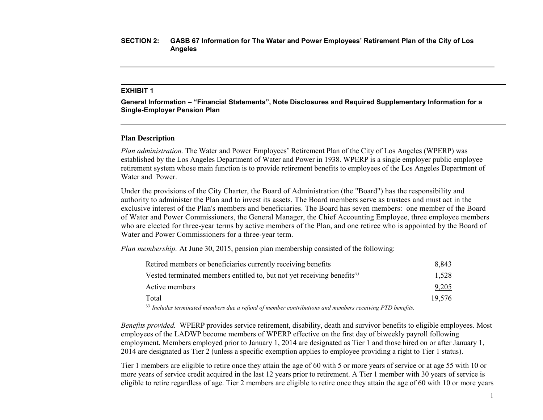#### **EXHIBIT 1**

**General Information – "Financial Statements", Note Disclosures and Required Supplementary Information for a Single-Employer Pension Plan**

#### **Plan Description**

*Plan administration.* The Water and Power Employees' Retirement Plan of the City of Los Angeles (WPERP) was established by the Los Angeles Department of Water and Power in 1938. WPERP is a single employer public employee retirement system whose main function is to provide retirement benefits to employees of the Los Angeles Department of Water and Power.

Under the provisions of the City Charter, the Board of Administration (the "Board") has the responsibility and authority to administer the Plan and to invest its assets. The Board members serve as trustees and must act in the exclusive interest of the Plan's members and beneficiaries. The Board has seven members: one member of the Board of Water and Power Commissioners, the General Manager, the Chief Accounting Employee, three employee members who are elected for three-year terms by active members of the Plan, and one retiree who is appointed by the Board of Water and Power Commissioners for a three-year term.

*Plan membership.* At June 30, 2015, pension plan membership consisted of the following:

| Retired members or beneficiaries currently receiving benefits                                               | 8.843  |
|-------------------------------------------------------------------------------------------------------------|--------|
| Vested terminated members entitled to, but not yet receiving benefits $\alpha$                              | 1,528  |
| Active members                                                                                              | 9,205  |
| Total                                                                                                       | 19.576 |
| (1) Let be described as a set of the second of the set of the contributions and according to the DTD bandle |        |

*(1) Includes terminated members due a refund of member contributions and members receiving PTD benefits.*

*Benefits provided.* WPERP provides service retirement, disability, death and survivor benefits to eligible employees. Most employees of the LADWP become members of WPERP effective on the first day of biweekly payroll following employment. Members employed prior to January 1, 2014 are designated as Tier 1 and those hired on or after January 1, 2014 are designated as Tier 2 (unless a specific exemption applies to employee providing a right to Tier 1 status).

Tier 1 members are eligible to retire once they attain the age of 60 with 5 or more years of service or at age 55 with 10 or more years of service credit acquired in the last 12 years prior to retirement. A Tier 1 member with 30 years of service is eligible to retire regardless of age. Tier 2 members are eligible to retire once they attain the age of 60 with 10 or more years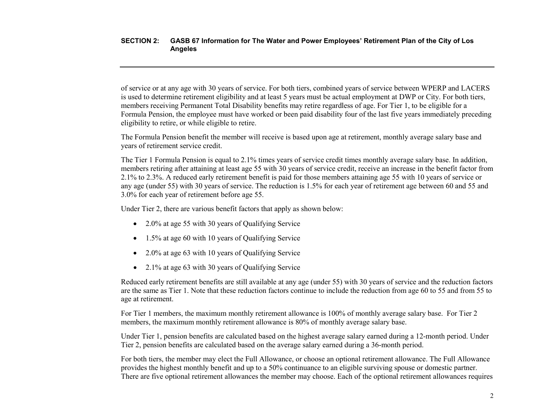of service or at any age with 30 years of service. For both tiers, combined years of service between WPERP and LACERS is used to determine retirement eligibility and at least 5 years must be actual employment at DWP or City. For both tiers, members receiving Permanent Total Disability benefits may retire regardless of age. For Tier 1, to be eligible for a Formula Pension, the employee must have worked or been paid disability four of the last five years immediately preceding eligibility to retire, or while eligible to retire.

The Formula Pension benefit the member will receive is based upon age at retirement, monthly average salary base and years of retirement service credit.

The Tier 1 Formula Pension is equal to 2.1% times years of service credit times monthly average salary base. In addition, members retiring after attaining at least age 55 with 30 years of service credit, receive an increase in the benefit factor from 2.1% to 2.3%. A reduced early retirement benefit is paid for those members attaining age 55 with 10 years of service or any age (under 55) with 30 years of service. The reduction is 1.5% for each year of retirement age between 60 and 55 and 3.0% for each year of retirement before age 55.

Under Tier 2, there are various benefit factors that apply as shown below:

- 2.0% at age 55 with 30 years of Qualifying Service
- 1.5% at age 60 with 10 years of Qualifying Service
- 2.0% at age 63 with 10 years of Qualifying Service
- 2.1% at age 63 with 30 years of Qualifying Service

Reduced early retirement benefits are still available at any age (under 55) with 30 years of service and the reduction factors are the same as Tier 1. Note that these reduction factors continue to include the reduction from age 60 to 55 and from 55 to age at retirement.

For Tier 1 members, the maximum monthly retirement allowance is 100% of monthly average salary base. For Tier 2 members, the maximum monthly retirement allowance is 80% of monthly average salary base.

Under Tier 1, pension benefits are calculated based on the highest average salary earned during a 12-month period. Under Tier 2, pension benefits are calculated based on the average salary earned during a 36-month period.

For both tiers, the member may elect the Full Allowance, or choose an optional retirement allowance. The Full Allowance provides the highest monthly benefit and up to a 50% continuance to an eligible surviving spouse or domestic partner. There are five optional retirement allowances the member may choose. Each of the optional retirement allowances requires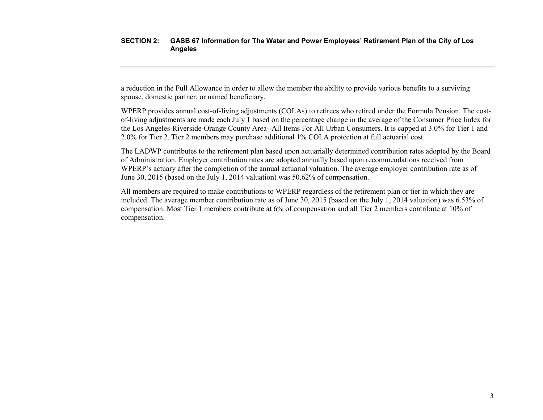a reduction in the Full Allowance in order to allow the member the ability to provide various benefits to a surviving spouse, domestic partner, or named beneficiary.

WPERP provides annual cost-of-living adjustments (COLAs) to retirees who retired under the Formula Pension. The costof-living adjustments are made each July 1 based on the percentage change in the average of the Consumer Price Index for the Los Angeles-Riverside-Orange County Area--All Items For All Urban Consumers. It is capped at 3.0% for Tier 1 and 2.0% for Tier 2. Tier 2 members may purchase additional 1% COLA protection at full actuarial cost.

The LADWP contributes to the retirement plan based upon actuarially determined contribution rates adopted by the Board of Administration. Employer contribution rates are adopted annually based upon recommendations received from WPERP's actuary after the completion of the annual actuarial valuation. The average employer contribution rate as of June 30, 2015 (based on the July 1, 2014 valuation) was 50.62% of compensation.

All members are required to make contributions to WPERP regardless of the retirement plan or tier in which they are included. The average member contribution rate as of June 30, 2015 (based on the July 1, 2014 valuation) was 6.53% of compensation. Most Tier 1 members contribute at 6% of compensation and all Tier 2 members contribute at 10% of compensation.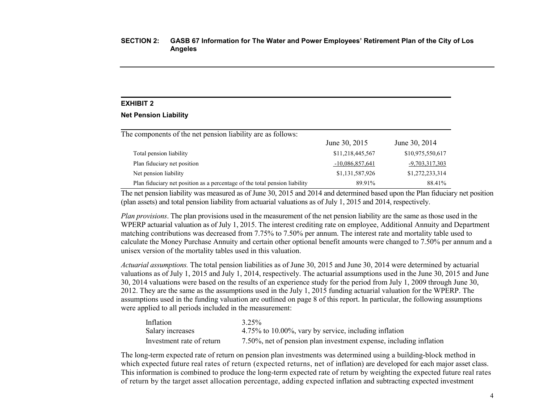### **EXHIBIT 2**

#### **Net Pension Liability**

The components of the net pension liability are as follows: June 30, 2015 June 30, 2014 Total pension liability \$11,218,445,567 \$10,975,550,617 Plan fiduciary net position  $-10,086,857,641$   $-9,703,317,303$ Net pension liability \$1,131,587,926 \$1,272,233,314 Plan fiduciary net position as a percentage of the total pension liability 89.91% 88.41%

The net pension liability was measured as of June 30, 2015 and 2014 and determined based upon the Plan fiduciary net position (plan assets) and total pension liability from actuarial valuations as of July 1, 2015 and 2014, respectively.

*Plan provisions*. The plan provisions used in the measurement of the net pension liability are the same as those used in the WPERP actuarial valuation as of July 1, 2015. The interest crediting rate on employee, Additional Annuity and Department matching contributions was decreased from 7.75% to 7.50% per annum. The interest rate and mortality table used to calculate the Money Purchase Annuity and certain other optional benefit amounts were changed to 7.50% per annum and a unisex version of the mortality tables used in this valuation.

*Actuarial assumptions.* The total pension liabilities as of June 30, 2015 and June 30, 2014 were determined by actuarial valuations as of July 1, 2015 and July 1, 2014, respectively. The actuarial assumptions used in the June 30, 2015 and June 30, 2014 valuations were based on the results of an experience study for the period from July 1, 2009 through June 30, 2012. They are the same as the assumptions used in the July 1, 2015 funding actuarial valuation for the WPERP. The assumptions used in the funding valuation are outlined on page 8 of this report. In particular, the following assumptions were applied to all periods included in the measurement:

| Inflation                 | $3.25\%$                                                           |
|---------------------------|--------------------------------------------------------------------|
| Salary increases          | 4.75% to 10.00%, vary by service, including inflation              |
| Investment rate of return | 7.50%, net of pension plan investment expense, including inflation |

The long-term expected rate of return on pension plan investments was determined using a building-block method in which expected future real rates of return (expected returns, net of inflation) are developed for each major asset class. This information is combined to produce the long-term expected rate of return by weighting the expected future real rates of return by the target asset allocation percentage, adding expected inflation and subtracting expected investment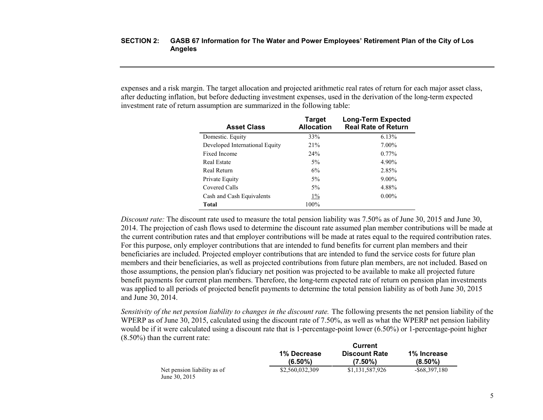expenses and a risk margin. The target allocation and projected arithmetic real rates of return for each major asset class, after deducting inflation, but before deducting investment expenses, used in the derivation of the long-term expected investment rate of return assumption are summarized in the following table:

| <b>Asset Class</b>             | Target<br><b>Allocation</b> | <b>Long-Term Expected</b><br><b>Real Rate of Return</b> |
|--------------------------------|-----------------------------|---------------------------------------------------------|
| Domestic. Equity               | 33%                         | 6.13%                                                   |
| Developed International Equity | 21%                         | $7.00\%$                                                |
| Fixed Income                   | 24%                         | $0.77\%$                                                |
| Real Estate                    | $5\%$                       | 4.90%                                                   |
| Real Return                    | 6%                          | 2.85%                                                   |
| Private Equity                 | $5\%$                       | $9.00\%$                                                |
| Covered Calls                  | 5%                          | 4.88%                                                   |
| Cash and Cash Equivalents      | $1\%$                       | $0.00\%$                                                |
| Total                          | 100%                        |                                                         |

*Discount rate:* The discount rate used to measure the total pension liability was 7.50% as of June 30, 2015 and June 30, 2014. The projection of cash flows used to determine the discount rate assumed plan member contributions will be made at the current contribution rates and that employer contributions will be made at rates equal to the required contribution rates. For this purpose, only employer contributions that are intended to fund benefits for current plan members and their beneficiaries are included. Projected employer contributions that are intended to fund the service costs for future plan members and their beneficiaries, as well as projected contributions from future plan members, are not included. Based on those assumptions, the pension plan's fiduciary net position was projected to be available to make all projected future benefit payments for current plan members. Therefore, the long-term expected rate of return on pension plan investments was applied to all periods of projected benefit payments to determine the total pension liability as of both June 30, 2015 and June 30, 2014.

*Sensitivity of the net pension liability to changes in the discount rate.* The following presents the net pension liability of the WPERP as of June 30, 2015, calculated using the discount rate of 7.50%, as well as what the WPERP net pension liability would be if it were calculated using a discount rate that is 1-percentage-point lower (6.50%) or 1-percentage-point higher (8.50%) than the current rate:

|                                              | Current                          |                                    |                           |  |
|----------------------------------------------|----------------------------------|------------------------------------|---------------------------|--|
|                                              | <b>1% Decrease</b><br>$(6.50\%)$ | <b>Discount Rate</b><br>$(7.50\%)$ | 1% Increase<br>$(8.50\%)$ |  |
| Net pension liability as of<br>June 30, 2015 | \$2,560,032,309                  | \$1,131,587,926                    | $-$ \$68,397,180          |  |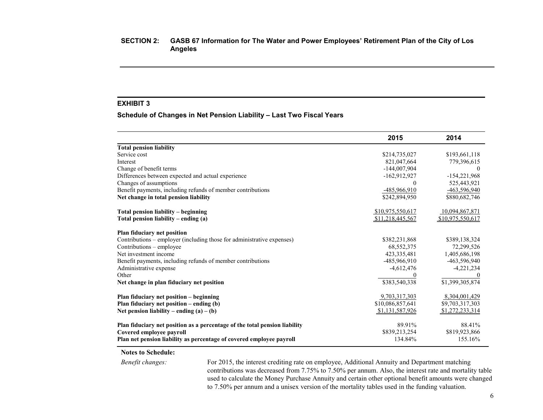## **EXHIBIT 3**

**Schedule of Changes in Net Pension Liability – Last Two Fiscal Years**

|                                                                            | 2015             | 2014             |
|----------------------------------------------------------------------------|------------------|------------------|
| <b>Total pension liability</b>                                             |                  |                  |
| Service cost                                                               | \$214,735,027    | \$193,661,118    |
| Interest                                                                   | 821,047,664      | 779,396,615      |
| Change of benefit terms                                                    | $-144,007,904$   |                  |
| Differences between expected and actual experience                         | $-162,912,927$   | $-154,221,968$   |
| Changes of assumptions                                                     | $\theta$         | 525,443,921      |
| Benefit payments, including refunds of member contributions                | -485,966,910     | -463,596,940     |
| Net change in total pension liability                                      | \$242,894,950    | \$880,682,746    |
| Total pension liability – beginning                                        | \$10,975,550,617 | 10,094,867,871   |
| Total pension liability – ending (a)                                       | \$11,218,445,567 | \$10,975,550,617 |
| Plan fiduciary net position                                                |                  |                  |
| Contributions - employer (including those for administrative expenses)     | \$382,231,868    | \$389,138,324    |
| Contributions – employee                                                   | 68,552,375       | 72,299,526       |
| Net investment income                                                      | 423, 335, 481    | 1,405,686,198    |
| Benefit payments, including refunds of member contributions                | $-485,966,910$   | -463,596,940     |
| Administrative expense                                                     | $-4,612,476$     | $-4,221,234$     |
| Other                                                                      |                  |                  |
| Net change in plan fiduciary net position                                  | \$383,540,338    | \$1,399,305,874  |
| Plan fiduciary net position – beginning                                    | 9,703,317,303    | 8,304,001,429    |
| Plan fiduciary net position $-$ ending (b)                                 | \$10,086,857,641 | \$9,703,317,303  |
| Net pension liability – ending $(a) - (b)$                                 | \$1,131,587,926  | \$1,272,233,314  |
| Plan fiduciary net position as a percentage of the total pension liability | 89.91%           | 88.41%           |
| Covered employee payroll                                                   | \$839,213,254    | \$819,923,866    |
| Plan net pension liability as percentage of covered employee payroll       | 134.84%          | 155.16%          |

#### **Notes to Schedule:**

*Benefit changes:* For 2015, the interest crediting rate on employee, Additional Annuity and Department matching contributions was decreased from 7.75% to 7.50% per annum. Also, the interest rate and mortality table used to calculate the Money Purchase Annuity and certain other optional benefit amounts were changed to 7.50% per annum and a unisex version of the mortality tables used in the funding valuation.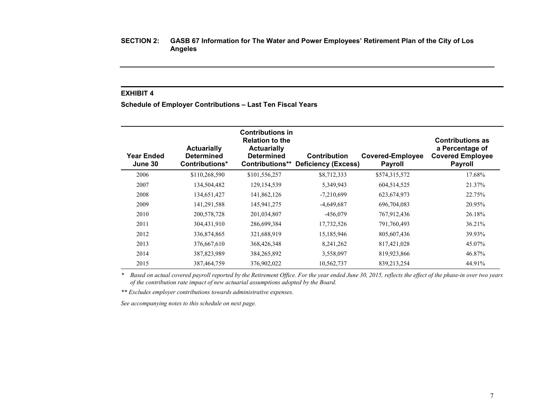## **EXHIBIT 4**

**Schedule of Employer Contributions – Last Ten Fiscal Years**

| Year Ended<br>June 30 | <b>Actuarially</b><br><b>Determined</b><br>Contributions* | <b>Contributions in</b><br><b>Relation to the</b><br><b>Actuarially</b><br><b>Determined</b> | Contribution<br><b>Contributions** Deficiency (Excess)</b> | <b>Covered-Employee</b><br><b>Payroll</b> | <b>Contributions as</b><br>a Percentage of<br><b>Covered Employee</b><br><b>Payroll</b> |
|-----------------------|-----------------------------------------------------------|----------------------------------------------------------------------------------------------|------------------------------------------------------------|-------------------------------------------|-----------------------------------------------------------------------------------------|
| 2006                  | \$110,268,590                                             | \$101,556,257                                                                                | \$8,712,333                                                | \$574,315,572                             | 17.68%                                                                                  |
| 2007                  | 134,504,482                                               | 129, 154, 539                                                                                | 5,349,943                                                  | 604,514,525                               | 21.37%                                                                                  |
| 2008                  | 134,651,427                                               | 141,862,126                                                                                  | $-7,210,699$                                               | 623, 674, 973                             | 22.75%                                                                                  |
| 2009                  | 141, 291, 588                                             | 145,941,275                                                                                  | $-4,649,687$                                               | 696,704,083                               | 20.95%                                                                                  |
| 2010                  | 200,578,728                                               | 201,034,807                                                                                  | $-456,079$                                                 | 767,912,436                               | 26.18%                                                                                  |
| 2011                  | 304,431,910                                               | 286,699,384                                                                                  | 17,732,526                                                 | 791,760,493                               | 36.21%                                                                                  |
| 2012                  | 336,874,865                                               | 321,688,919                                                                                  | 15,185,946                                                 | 805,607,436                               | 39.93%                                                                                  |
| 2013                  | 376,667,610                                               | 368,426,348                                                                                  | 8, 241, 262                                                | 817,421,028                               | 45.07%                                                                                  |
| 2014                  | 387,823,989                                               | 384,265,892                                                                                  | 3,558,097                                                  | 819,923,866                               | 46.87%                                                                                  |
| 2015                  | 387,464,759                                               | 376,902,022                                                                                  | 10,562,737                                                 | 839,213,254                               | 44.91%                                                                                  |

*\* Based on actual covered payroll reported by the Retirement Office. For the year ended June 30, 2015, reflects the effect of the phase-in over two years of the contribution rate impact of new actuarial assumptions adopted by the Board.*

*\*\* Excludes employer contributions towards administrative expenses.*

*See accompanying notes to this schedule on next page.*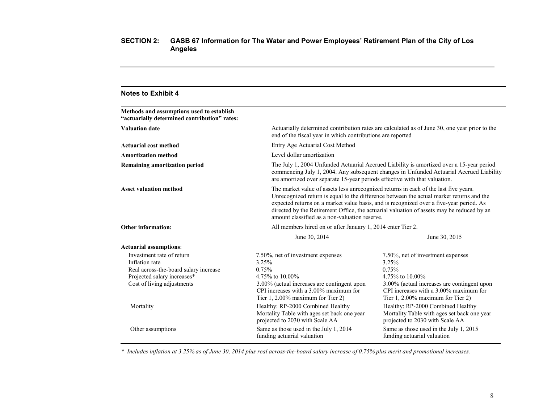| <b>Notes to Exhibit 4</b>                                                                 |                                                                                                                                                                                                                                                                                                                                                                                                                           |                                                                                                                                                                                     |  |
|-------------------------------------------------------------------------------------------|---------------------------------------------------------------------------------------------------------------------------------------------------------------------------------------------------------------------------------------------------------------------------------------------------------------------------------------------------------------------------------------------------------------------------|-------------------------------------------------------------------------------------------------------------------------------------------------------------------------------------|--|
| Methods and assumptions used to establish<br>"actuarially determined contribution" rates: |                                                                                                                                                                                                                                                                                                                                                                                                                           |                                                                                                                                                                                     |  |
| <b>Valuation date</b>                                                                     | end of the fiscal year in which contributions are reported                                                                                                                                                                                                                                                                                                                                                                | Actuarially determined contribution rates are calculated as of June 30, one year prior to the                                                                                       |  |
| <b>Actuarial cost method</b>                                                              | Entry Age Actuarial Cost Method                                                                                                                                                                                                                                                                                                                                                                                           |                                                                                                                                                                                     |  |
| <b>Amortization method</b>                                                                | Level dollar amortization                                                                                                                                                                                                                                                                                                                                                                                                 |                                                                                                                                                                                     |  |
| <b>Remaining amortization period</b>                                                      | are amortized over separate 15-year periods effective with that valuation.                                                                                                                                                                                                                                                                                                                                                | The July 1, 2004 Unfunded Actuarial Accrued Liability is amortized over a 15-year period<br>commencing July 1, 2004. Any subsequent changes in Unfunded Actuarial Accrued Liability |  |
| <b>Asset valuation method</b>                                                             | The market value of assets less unrecognized returns in each of the last five years.<br>Unrecognized return is equal to the difference between the actual market returns and the<br>expected returns on a market value basis, and is recognized over a five-year period. As<br>directed by the Retirement Office, the actuarial valuation of assets may be reduced by an<br>amount classified as a non-valuation reserve. |                                                                                                                                                                                     |  |
| <b>Other information:</b>                                                                 | All members hired on or after January 1, 2014 enter Tier 2.                                                                                                                                                                                                                                                                                                                                                               |                                                                                                                                                                                     |  |
|                                                                                           | June 30, 2014                                                                                                                                                                                                                                                                                                                                                                                                             | June 30, 2015                                                                                                                                                                       |  |
| <b>Actuarial assumptions:</b>                                                             |                                                                                                                                                                                                                                                                                                                                                                                                                           |                                                                                                                                                                                     |  |
| Investment rate of return<br>Inflation rate                                               | 7.50%, net of investment expenses<br>3.25%                                                                                                                                                                                                                                                                                                                                                                                | 7.50%, net of investment expenses<br>3.25%                                                                                                                                          |  |
| Real across-the-board salary increase                                                     | 0.75%<br>4.75% to 10.00%                                                                                                                                                                                                                                                                                                                                                                                                  | 0.75%<br>4.75% to 10.00%                                                                                                                                                            |  |
| Projected salary increases*<br>Cost of living adjustments                                 | 3.00% (actual increases are contingent upon<br>CPI increases with a 3.00% maximum for<br>Tier 1, 2.00% maximum for Tier 2)                                                                                                                                                                                                                                                                                                | 3.00% (actual increases are contingent upon<br>CPI increases with a 3.00% maximum for<br>Tier 1, 2.00% maximum for Tier 2)                                                          |  |
| Mortality                                                                                 | Healthy: RP-2000 Combined Healthy<br>Mortality Table with ages set back one year<br>projected to 2030 with Scale AA                                                                                                                                                                                                                                                                                                       | Healthy: RP-2000 Combined Healthy<br>Mortality Table with ages set back one year<br>projected to 2030 with Scale AA                                                                 |  |
| Other assumptions                                                                         | Same as those used in the July 1, 2014<br>funding actuarial valuation                                                                                                                                                                                                                                                                                                                                                     | Same as those used in the July 1, 2015<br>funding actuarial valuation                                                                                                               |  |

*\* Includes inflation at 3.25% as of June 30, 2014 plus real across-the-board salary increase of 0.75% plus merit and promotional increases.*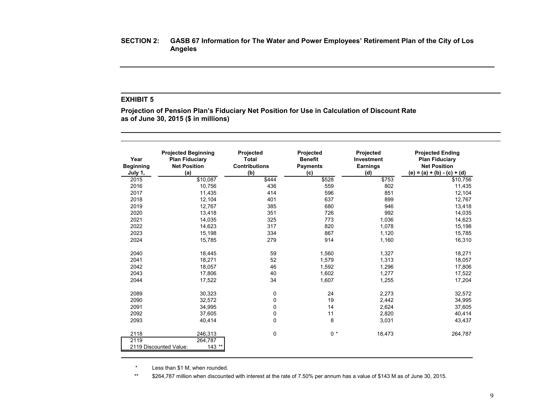## **EXHIBIT 5**

**Projection of Pension Plan's Fiduciary Net Position for Use in Calculation of Discount Rate as of June 30, 2015 (\$ in millions)**

| Year<br><b>Beginning</b><br>July 1, | <b>Projected Beginning</b><br><b>Plan Fiduciary</b><br><b>Net Position</b><br>(a) | <b>Projected</b><br>Total<br><b>Contributions</b><br>(b) | Projected<br><b>Benefit</b><br><b>Payments</b><br>(c) | Projected<br><b>Investment</b><br>Earnings<br>(d) | <b>Projected Ending</b><br><b>Plan Fiduciary</b><br><b>Net Position</b><br>(e) = (a) + (b) - (c) + (d) |
|-------------------------------------|-----------------------------------------------------------------------------------|----------------------------------------------------------|-------------------------------------------------------|---------------------------------------------------|--------------------------------------------------------------------------------------------------------|
| 2015                                | \$10,087                                                                          | \$444                                                    | \$528                                                 | \$753                                             | \$10,756                                                                                               |
| 2016                                | 10,756                                                                            | 436                                                      | 559                                                   | 802                                               | 11,435                                                                                                 |
| 2017                                | 11,435                                                                            | 414                                                      | 596                                                   | 851                                               | 12,104                                                                                                 |
| 2018                                | 12,104                                                                            | 401                                                      | 637                                                   | 899                                               | 12,767                                                                                                 |
| 2019                                | 12,767                                                                            | 385                                                      | 680                                                   | 946                                               | 13,418                                                                                                 |
| 2020                                | 13,418                                                                            | 351                                                      | 726                                                   | 992                                               | 14,035                                                                                                 |
| 2021                                | 14,035                                                                            | 325                                                      | 773                                                   | 1,036                                             | 14,623                                                                                                 |
| 2022                                | 14,623                                                                            | 317                                                      | 820                                                   | 1,078                                             | 15,198                                                                                                 |
| 2023                                | 15,198                                                                            | 334                                                      | 867                                                   | 1,120                                             | 15,785                                                                                                 |
| 2024                                | 15,785                                                                            | 279                                                      | 914                                                   | 1,160                                             | 16,310                                                                                                 |
| 2040                                | 18,445                                                                            | 59                                                       | 1,560                                                 | 1,327                                             | 18,271                                                                                                 |
| 2041                                | 18,271                                                                            | 52                                                       | 1,579                                                 | 1,313                                             | 18,057                                                                                                 |
| 2042                                | 18,057                                                                            | 46                                                       | 1,592                                                 | 1,296                                             | 17.806                                                                                                 |
| 2043                                | 17,806                                                                            | 40                                                       | 1,602                                                 | 1,277                                             | 17,522                                                                                                 |
| 2044                                | 17,522                                                                            | 34                                                       | 1,607                                                 | 1,255                                             | 17,204                                                                                                 |
| 2089                                | 30,323                                                                            | 0                                                        | 24                                                    | 2,273                                             | 32,572                                                                                                 |
| 2090                                | 32,572                                                                            | 0                                                        | 19                                                    | 2,442                                             | 34,995                                                                                                 |
| 2091                                | 34,995                                                                            | 0                                                        | 14                                                    | 2,624                                             | 37,605                                                                                                 |
| 2092                                | 37,605                                                                            | 0                                                        | 11                                                    | 2,820                                             | 40,414                                                                                                 |
| 2093                                | 40,414                                                                            | 0                                                        | 8                                                     | 3,031                                             | 43,437                                                                                                 |
| 2118<br>2119                        | 246,313<br>264,787<br>2119 Discounted Value:<br>$143$ **                          | 0                                                        | $0 *$                                                 | 18,473                                            | 264,787                                                                                                |

\* Less than \$1 M, when rounded.

\*\* \$264,787 million when discounted with interest at the rate of 7.50% per annum has a value of \$143 M as of June 30, 2015.